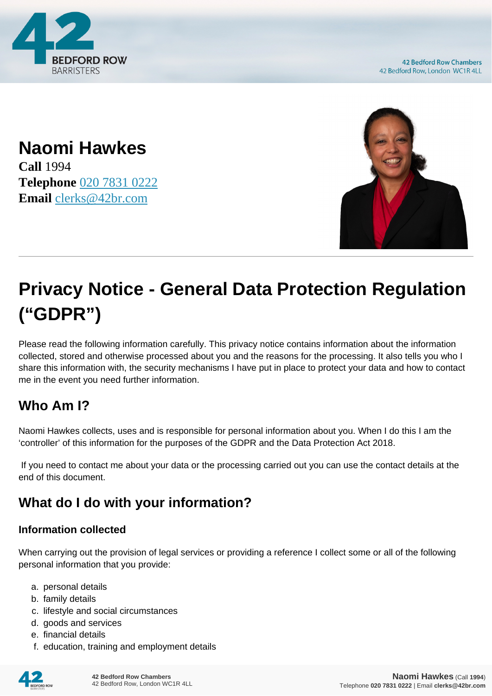

**42 Bedford Row Chambers** 42 Bedford Row, London WC1R 4LL

**Naomi Hawkes Call** 1994 **Telephone** [020 7831 0222](https://pdf.codeshore.co/_42br/tel:020 7831 0222) **Email** [clerks@42br.com](mailto:clerks@42br.com)



# **Privacy Notice - General Data Protection Regulation ("GDPR")**

Please read the following information carefully. This privacy notice contains information about the information collected, stored and otherwise processed about you and the reasons for the processing. It also tells you who I share this information with, the security mechanisms I have put in place to protect your data and how to contact me in the event you need further information.

# **Who Am I?**

Naomi Hawkes collects, uses and is responsible for personal information about you. When I do this I am the 'controller' of this information for the purposes of the GDPR and the Data Protection Act 2018.

 If you need to contact me about your data or the processing carried out you can use the contact details at the end of this document.

# **What do I do with your information?**

#### **Information collected**

When carrying out the provision of legal services or providing a reference I collect some or all of the following personal information that you provide:

- a. personal details
- b. family details
- c. lifestyle and social circumstances
- d. goods and services
- e. financial details
- f. education, training and employment details

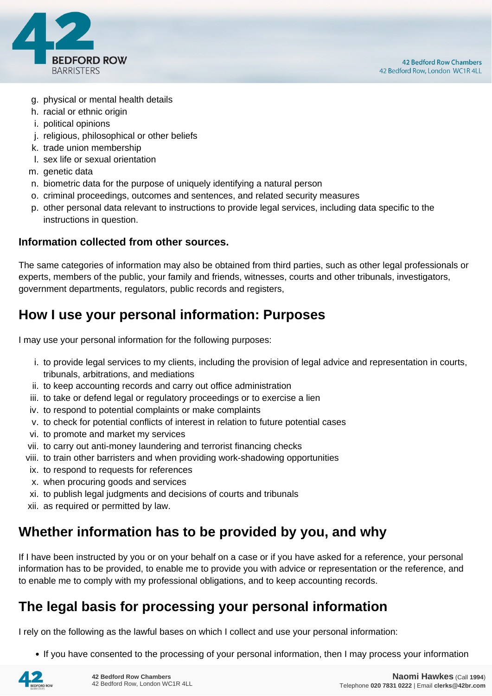

- g. physical or mental health details
- h. racial or ethnic origin
- i. political opinions
- j. religious, philosophical or other beliefs
- k. trade union membership
- l. sex life or sexual orientation
- m. genetic data
- n. biometric data for the purpose of uniquely identifying a natural person
- o. criminal proceedings, outcomes and sentences, and related security measures
- p. other personal data relevant to instructions to provide legal services, including data specific to the instructions in question.

#### **Information collected from other sources.**

The same categories of information may also be obtained from third parties, such as other legal professionals or experts, members of the public, your family and friends, witnesses, courts and other tribunals, investigators, government departments, regulators, public records and registers,

## **How I use your personal information: Purposes**

I may use your personal information for the following purposes:

- i. to provide legal services to my clients, including the provision of legal advice and representation in courts, tribunals, arbitrations, and mediations
- ii. to keep accounting records and carry out office administration
- iii. to take or defend legal or regulatory proceedings or to exercise a lien
- iv. to respond to potential complaints or make complaints
- v. to check for potential conflicts of interest in relation to future potential cases
- vi. to promote and market my services
- vii. to carry out anti-money laundering and terrorist financing checks
- viii. to train other barristers and when providing work-shadowing opportunities
- ix. to respond to requests for references
- x. when procuring goods and services
- xi. to publish legal judgments and decisions of courts and tribunals
- xii. as required or permitted by law.

## **Whether information has to be provided by you, and why**

If I have been instructed by you or on your behalf on a case or if you have asked for a reference, your personal information has to be provided, to enable me to provide you with advice or representation or the reference, and to enable me to comply with my professional obligations, and to keep accounting records.

## **The legal basis for processing your personal information**

I rely on the following as the lawful bases on which I collect and use your personal information:

• If you have consented to the processing of your personal information, then I may process your information

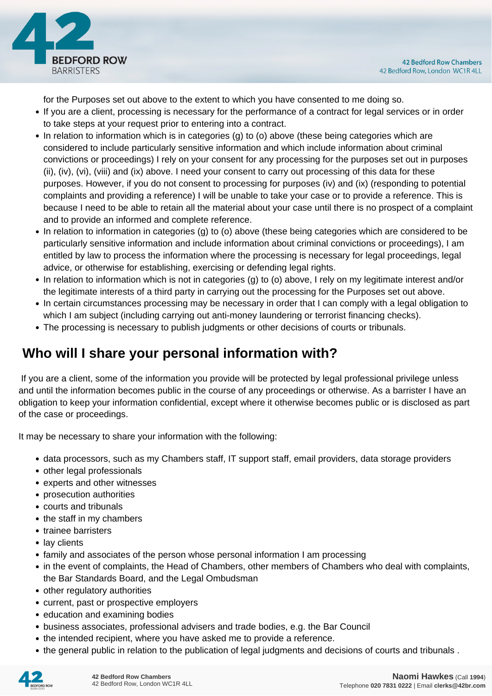

for the Purposes set out above to the extent to which you have consented to me doing so.

- If you are a client, processing is necessary for the performance of a contract for legal services or in order to take steps at your request prior to entering into a contract.
- In relation to information which is in categories (g) to (o) above (these being categories which are considered to include particularly sensitive information and which include information about criminal convictions or proceedings) I rely on your consent for any processing for the purposes set out in purposes (ii), (iv), (vi), (viii) and (ix) above. I need your consent to carry out processing of this data for these purposes. However, if you do not consent to processing for purposes (iv) and (ix) (responding to potential complaints and providing a reference) I will be unable to take your case or to provide a reference. This is because I need to be able to retain all the material about your case until there is no prospect of a complaint and to provide an informed and complete reference.
- In relation to information in categories (g) to (o) above (these being categories which are considered to be particularly sensitive information and include information about criminal convictions or proceedings), I am entitled by law to process the information where the processing is necessary for legal proceedings, legal advice, or otherwise for establishing, exercising or defending legal rights.
- In relation to information which is not in categories (g) to (o) above, I rely on my legitimate interest and/or the legitimate interests of a third party in carrying out the processing for the Purposes set out above.
- In certain circumstances processing may be necessary in order that I can comply with a legal obligation to which I am subject (including carrying out anti-money laundering or terrorist financing checks).
- The processing is necessary to publish judgments or other decisions of courts or tribunals.

# **Who will I share your personal information with?**

 If you are a client, some of the information you provide will be protected by legal professional privilege unless and until the information becomes public in the course of any proceedings or otherwise. As a barrister I have an obligation to keep your information confidential, except where it otherwise becomes public or is disclosed as part of the case or proceedings.

It may be necessary to share your information with the following:

- data processors, such as my Chambers staff, IT support staff, email providers, data storage providers
- other legal professionals
- experts and other witnesses
- prosecution authorities
- courts and tribunals
- the staff in my chambers
- trainee barristers
- lay clients
- family and associates of the person whose personal information I am processing
- in the event of complaints, the Head of Chambers, other members of Chambers who deal with complaints, the Bar Standards Board, and the Legal Ombudsman
- other regulatory authorities
- current, past or prospective employers
- education and examining bodies
- business associates, professional advisers and trade bodies, e.g. the Bar Council
- the intended recipient, where you have asked me to provide a reference.
- the general public in relation to the publication of legal judgments and decisions of courts and tribunals .

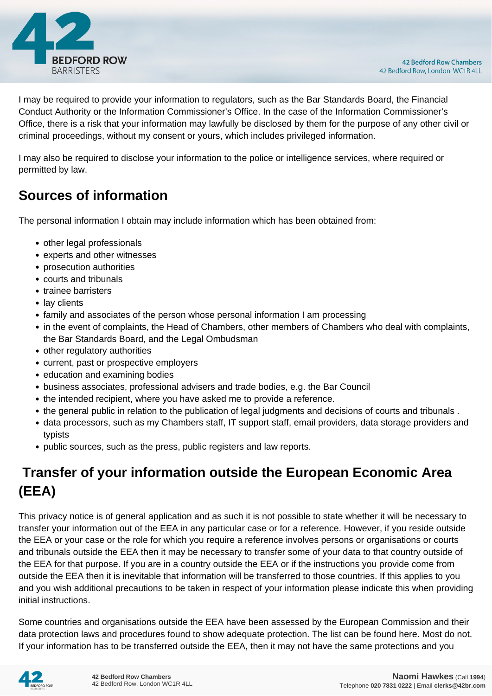

I may be required to provide your information to regulators, such as the Bar Standards Board, the Financial Conduct Authority or the Information Commissioner's Office. In the case of the Information Commissioner's Office, there is a risk that your information may lawfully be disclosed by them for the purpose of any other civil or criminal proceedings, without my consent or yours, which includes privileged information.

I may also be required to disclose your information to the police or intelligence services, where required or permitted by law.

# **Sources of information**

The personal information I obtain may include information which has been obtained from:

- other legal professionals
- experts and other witnesses
- prosecution authorities
- courts and tribunals
- trainee barristers
- lay clients
- family and associates of the person whose personal information I am processing
- in the event of complaints, the Head of Chambers, other members of Chambers who deal with complaints, the Bar Standards Board, and the Legal Ombudsman
- other regulatory authorities
- current, past or prospective employers
- education and examining bodies
- business associates, professional advisers and trade bodies, e.g. the Bar Council
- the intended recipient, where you have asked me to provide a reference.
- the general public in relation to the publication of legal judgments and decisions of courts and tribunals .
- data processors, such as my Chambers staff, IT support staff, email providers, data storage providers and typists
- public sources, such as the press, public registers and law reports.

# **Transfer of your information outside the European Economic Area (EEA)**

This privacy notice is of general application and as such it is not possible to state whether it will be necessary to transfer your information out of the EEA in any particular case or for a reference. However, if you reside outside the EEA or your case or the role for which you require a reference involves persons or organisations or courts and tribunals outside the EEA then it may be necessary to transfer some of your data to that country outside of the EEA for that purpose. If you are in a country outside the EEA or if the instructions you provide come from outside the EEA then it is inevitable that information will be transferred to those countries. If this applies to you and you wish additional precautions to be taken in respect of your information please indicate this when providing initial instructions.

Some countries and organisations outside the EEA have been assessed by the European Commission and their data protection laws and procedures found to show adequate protection. The list can be found here. Most do not. If your information has to be transferred outside the EEA, then it may not have the same protections and you

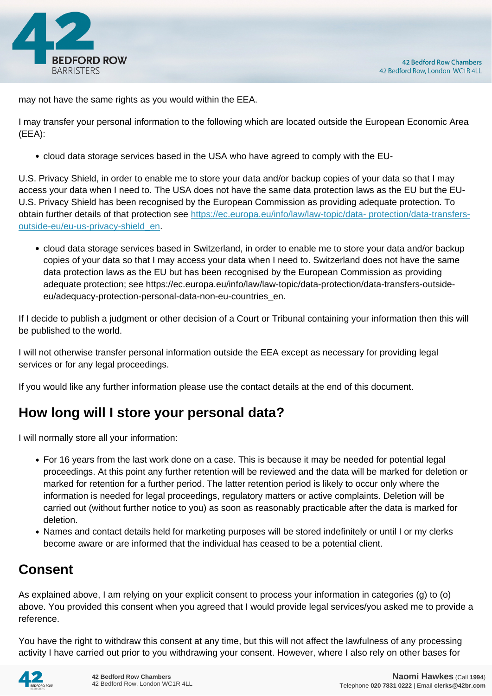

may not have the same rights as you would within the EEA.

I may transfer your personal information to the following which are located outside the European Economic Area (EEA):

cloud data storage services based in the USA who have agreed to comply with the EU-

U.S. Privacy Shield, in order to enable me to store your data and/or backup copies of your data so that I may access your data when I need to. The USA does not have the same data protection laws as the EU but the EU-U.S. Privacy Shield has been recognised by the European Commission as providing adequate protection. To obtain further details of that protection see [https://ec.europa.eu/info/law/law-topic/data- protection/data-transfers](https://ec.europa.eu/info/law/law-topic/data- protection/data-transfers-outside-eu/eu-us-privacy-shield_en)[outside-eu/eu-us-privacy-shield\\_en.](https://ec.europa.eu/info/law/law-topic/data- protection/data-transfers-outside-eu/eu-us-privacy-shield_en)

cloud data storage services based in Switzerland, in order to enable me to store your data and/or backup copies of your data so that I may access your data when I need to. Switzerland does not have the same data protection laws as the EU but has been recognised by the European Commission as providing adequate protection; see https://ec.europa.eu/info/law/law-topic/data-protection/data-transfers-outsideeu/adequacy-protection-personal-data-non-eu-countries\_en.

If I decide to publish a judgment or other decision of a Court or Tribunal containing your information then this will be published to the world.

I will not otherwise transfer personal information outside the EEA except as necessary for providing legal services or for any legal proceedings.

If you would like any further information please use the contact details at the end of this document.

# **How long will I store your personal data?**

I will normally store all your information:

- For 16 years from the last work done on a case. This is because it may be needed for potential legal proceedings. At this point any further retention will be reviewed and the data will be marked for deletion or marked for retention for a further period. The latter retention period is likely to occur only where the information is needed for legal proceedings, regulatory matters or active complaints. Deletion will be carried out (without further notice to you) as soon as reasonably practicable after the data is marked for deletion.
- Names and contact details held for marketing purposes will be stored indefinitely or until I or my clerks become aware or are informed that the individual has ceased to be a potential client.

# **Consent**

As explained above, I am relying on your explicit consent to process your information in categories (g) to (o) above. You provided this consent when you agreed that I would provide legal services/you asked me to provide a reference.

You have the right to withdraw this consent at any time, but this will not affect the lawfulness of any processing activity I have carried out prior to you withdrawing your consent. However, where I also rely on other bases for

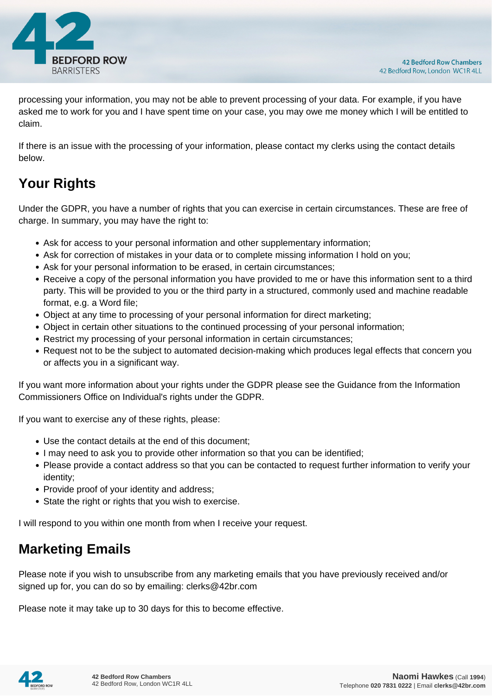

processing your information, you may not be able to prevent processing of your data. For example, if you have asked me to work for you and I have spent time on your case, you may owe me money which I will be entitled to claim.

If there is an issue with the processing of your information, please contact my clerks using the contact details below.

# **Your Rights**

Under the GDPR, you have a number of rights that you can exercise in certain circumstances. These are free of charge. In summary, you may have the right to:

- Ask for access to your personal information and other supplementary information;
- Ask for correction of mistakes in your data or to complete missing information I hold on you;
- Ask for your personal information to be erased, in certain circumstances;
- Receive a copy of the personal information you have provided to me or have this information sent to a third party. This will be provided to you or the third party in a structured, commonly used and machine readable format, e.g. a Word file;
- Object at any time to processing of your personal information for direct marketing;
- Object in certain other situations to the continued processing of your personal information;
- Restrict my processing of your personal information in certain circumstances;
- Request not to be the subject to automated decision-making which produces legal effects that concern you or affects you in a significant way.

If you want more information about your rights under the GDPR please see the Guidance from the Information Commissioners Office on Individual's rights under the GDPR.

If you want to exercise any of these rights, please:

- Use the contact details at the end of this document;
- I may need to ask you to provide other information so that you can be identified;
- Please provide a contact address so that you can be contacted to request further information to verify your identity;
- Provide proof of your identity and address;
- State the right or rights that you wish to exercise.

I will respond to you within one month from when I receive your request.

## **Marketing Emails**

Please note if you wish to unsubscribe from any marketing emails that you have previously received and/or signed up for, you can do so by emailing: clerks@42br.com

Please note it may take up to 30 days for this to become effective.